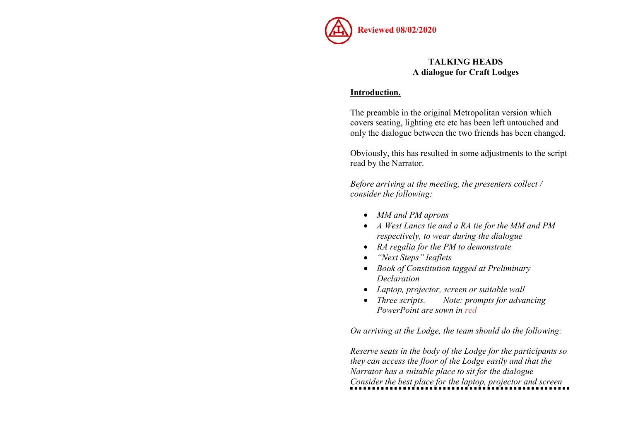

# TALKING HEADS A dialogue for Craft Lodges

### Introduction.

The preamble in the original Metropolitan version which covers seating, lighting etc etc has been left untouched and only the dialogue between the two friends has been changed.

Obviously, this has resulted in some adjustments to the script read by the Narrator.

Before arriving at the meeting, the presenters collect / consider the following:

- MM and PM aprons
- A West Lancs tie and a RA tie for the MM and PM respectively, to wear during the dialogue
- RA regalia for the PM to demonstrate
- "Next Steps" leaflets
- Book of Constitution tagged at Preliminary Declaration
- Laptop, projector, screen or suitable wall
- Three scripts. Note: prompts for advancing PowerPoint are sown in red

On arriving at the Lodge, the team should do the following:

Reserve seats in the body of the Lodge for the participants so they can access the floor of the Lodge easily and that the Narrator has a suitable place to sit for the dialogue Consider the best place for the laptop, projector and screen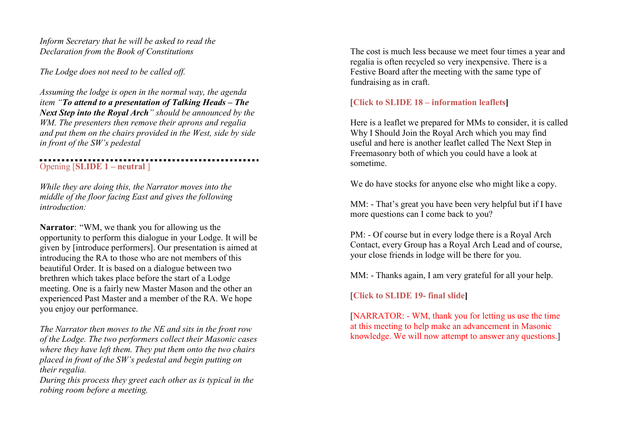Inform Secretary that he will be asked to read the Declaration from the Book of Constitutions

The Lodge does not need to be called off.

Assuming the lodge is open in the normal way, the agenda item "To attend to a presentation of Talking Heads – The Next Step into the Royal Arch" should be announced by the WM. The presenters then remove their aprons and regalia and put them on the chairs provided in the West, side by side in front of the SW's pedestal

Opening [SLIDE 1 – neutral ]

While they are doing this, the Narrator moves into the middle of the floor facing East and gives the following introduction:

Narrator: "WM, we thank you for allowing us the opportunity to perform this dialogue in your Lodge. It will be given by [introduce performers]. Our presentation is aimed at introducing the RA to those who are not members of this beautiful Order. It is based on a dialogue between two brethren which takes place before the start of a Lodge meeting. One is a fairly new Master Mason and the other an experienced Past Master and a member of the RA. We hope you enjoy our performance.

The Narrator then moves to the NE and sits in the front row of the Lodge. The two performers collect their Masonic cases where they have left them. They put them onto the two chairs placed in front of the SW's pedestal and begin putting on their regalia.

During this process they greet each other as is typical in the robing room before a meeting.

The cost is much less because we meet four times a year and regalia is often recycled so very inexpensive. There is a Festive Board after the meeting with the same type of fundraising as in craft.

# [Click to SLIDE 18 – information leaflets]

Here is a leaflet we prepared for MMs to consider, it is called Why I Should Join the Royal Arch which you may find useful and here is another leaflet called The Next Step in Freemasonry both of which you could have a look at sometime.

We do have stocks for anyone else who might like a copy.

MM: - That's great you have been very helpful but if I have more questions can I come back to you?

PM: - Of course but in every lodge there is a Royal Arch Contact, every Group has a Royal Arch Lead and of course, your close friends in lodge will be there for you.

MM: - Thanks again, I am very grateful for all your help.

[Click to SLIDE 19- final slide]

[NARRATOR: - WM, thank you for letting us use the time at this meeting to help make an advancement in Masonic knowledge. We will now attempt to answer any questions.]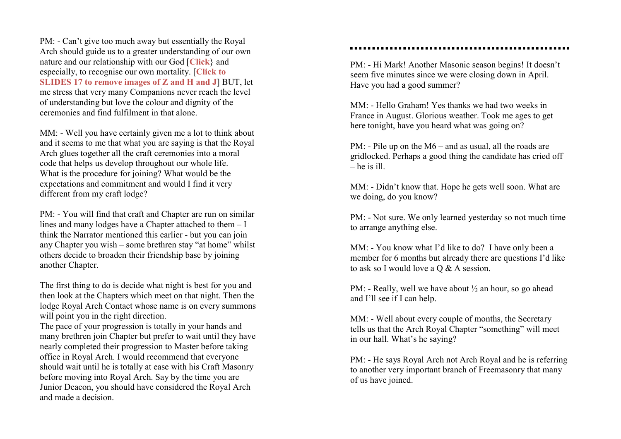PM: - Can't give too much away but essentially the Royal Arch should guide us to a greater understanding of our own nature and our relationship with our God [Click} and especially, to recognise our own mortality. [Click to SLIDES 17 to remove images of Z and H and J] BUT, let me stress that very many Companions never reach the level of understanding but love the colour and dignity of the ceremonies and find fulfilment in that alone.

MM: - Well you have certainly given me a lot to think about and it seems to me that what you are saying is that the Royal Arch glues together all the craft ceremonies into a moral code that helps us develop throughout our whole life. What is the procedure for joining? What would be the expectations and commitment and would I find it very different from my craft lodge?

PM: - You will find that craft and Chapter are run on similar lines and many lodges have a Chapter attached to them – I think the Narrator mentioned this earlier - but you can join any Chapter you wish – some brethren stay "at home" whilst others decide to broaden their friendship base by joining another Chapter.

The first thing to do is decide what night is best for you and then look at the Chapters which meet on that night. Then the lodge Royal Arch Contact whose name is on every summons will point you in the right direction.

The pace of your progression is totally in your hands and many brethren join Chapter but prefer to wait until they have nearly completed their progression to Master before taking office in Royal Arch. I would recommend that everyone should wait until he is totally at ease with his Craft Masonry before moving into Royal Arch. Say by the time you are Junior Deacon, you should have considered the Royal Arch and made a decision.

#### 

PM: - Hi Mark! Another Masonic season begins! It doesn't seem five minutes since we were closing down in April. Have you had a good summer?

MM: - Hello Graham! Yes thanks we had two weeks in France in August. Glorious weather. Took me ages to get here tonight, have you heard what was going on?

PM: - Pile up on the M6 – and as usual, all the roads are gridlocked. Perhaps a good thing the candidate has cried off  $-$  he is ill.

MM: - Didn't know that. Hope he gets well soon. What are we doing, do you know?

PM: - Not sure. We only learned yesterday so not much time to arrange anything else.

MM: - You know what I'd like to do? I have only been a member for 6 months but already there are questions I'd like to ask so I would love a Q & A session.

PM: - Really, well we have about ½ an hour, so go ahead and I'll see if I can help.

MM: - Well about every couple of months, the Secretary tells us that the Arch Royal Chapter "something" will meet in our hall. What's he saying?

PM: - He says Royal Arch not Arch Royal and he is referring to another very important branch of Freemasonry that many of us have joined.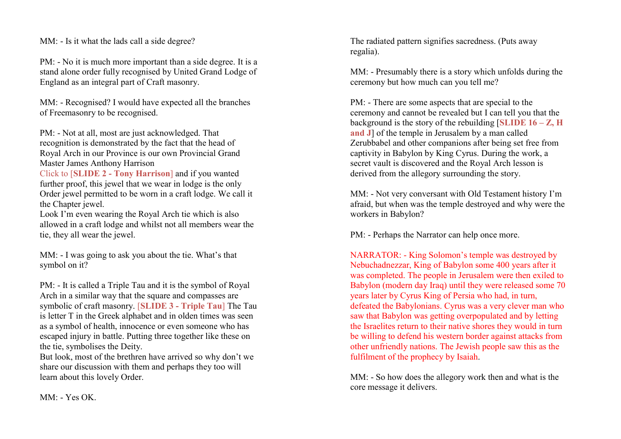MM: - Is it what the lads call a side degree?

PM: - No it is much more important than a side degree. It is a stand alone order fully recognised by United Grand Lodge of England as an integral part of Craft masonry.

MM: - Recognised? I would have expected all the branches of Freemasonry to be recognised.

PM: - Not at all, most are just acknowledged. That recognition is demonstrated by the fact that the head of Royal Arch in our Province is our own Provincial Grand Master James Anthony Harrison

Click to [SLIDE 2 - Tony Harrison] and if you wanted further proof, this jewel that we wear in lodge is the only Order jewel permitted to be worn in a craft lodge. We call it the Chapter jewel.

Look I'm even wearing the Royal Arch tie which is also allowed in a craft lodge and whilst not all members wear the tie, they all wear the jewel.

MM: - I was going to ask you about the tie. What's that symbol on it?

PM: - It is called a Triple Tau and it is the symbol of Royal Arch in a similar way that the square and compasses are symbolic of craft masonry. [SLIDE 3 - Triple Tau] The Tau is letter T in the Greek alphabet and in olden times was seen as a symbol of health, innocence or even someone who has escaped injury in battle. Putting three together like these on the tie, symbolises the Deity.

But look, most of the brethren have arrived so why don't we share our discussion with them and perhaps they too will learn about this lovely Order.

The radiated pattern signifies sacredness. (Puts away regalia).

MM: - Presumably there is a story which unfolds during the ceremony but how much can you tell me?

PM: - There are some aspects that are special to the ceremony and cannot be revealed but I can tell you that the background is the story of the rebuilding  $[SLIDE 16 - Z, H]$ and J of the temple in Jerusalem by a man called Zerubbabel and other companions after being set free from captivity in Babylon by King Cyrus. During the work, a secret vault is discovered and the Royal Arch lesson is derived from the allegory surrounding the story.

MM: - Not very conversant with Old Testament history I'm afraid, but when was the temple destroyed and why were the workers in Babylon?

PM: - Perhaps the Narrator can help once more.

NARRATOR: - King Solomon's temple was destroyed by Nebuchadnezzar, King of Babylon some 400 years after it was completed. The people in Jerusalem were then exiled to Babylon (modern day Iraq) until they were released some 70 years later by Cyrus King of Persia who had, in turn, defeated the Babylonians. Cyrus was a very clever man who saw that Babylon was getting overpopulated and by letting the Israelites return to their native shores they would in turn be willing to defend his western border against attacks from other unfriendly nations. The Jewish people saw this as the fulfilment of the prophecy by Isaiah.

MM: - So how does the allegory work then and what is the core message it delivers.

MM: - Yes OK.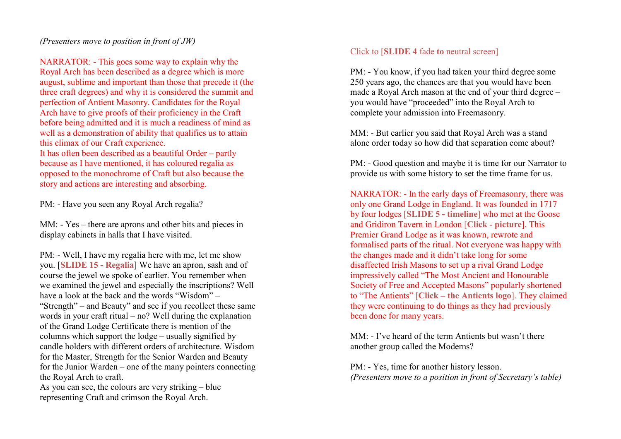### (Presenters move to position in front of JW)

NARRATOR: - This goes some way to explain why the Royal Arch has been described as a degree which is more august, sublime and important than those that precede it (the three craft degrees) and why it is considered the summit and perfection of Antient Masonry. Candidates for the Royal Arch have to give proofs of their proficiency in the Craft before being admitted and it is much a readiness of mind as well as a demonstration of ability that qualifies us to attain this climax of our Craft experience. It has often been described as a beautiful Order – partly because as I have mentioned, it has coloured regalia as opposed to the monochrome of Craft but also because the story and actions are interesting and absorbing.

PM: - Have you seen any Royal Arch regalia?

MM: - Yes – there are aprons and other bits and pieces in display cabinets in halls that I have visited.

PM: - Well, I have my regalia here with me, let me show you. [SLIDE 15 - Regalia] We have an apron, sash and of course the jewel we spoke of earlier. You remember when we examined the jewel and especially the inscriptions? Well have a look at the back and the words "Wisdom" – "Strength" – and Beauty" and see if you recollect these same words in your craft ritual – no? Well during the explanation of the Grand Lodge Certificate there is mention of the columns which support the lodge – usually signified by candle holders with different orders of architecture. Wisdom for the Master, Strength for the Senior Warden and Beauty for the Junior Warden – one of the many pointers connecting the Royal Arch to craft.

As you can see, the colours are very striking – blue representing Craft and crimson the Royal Arch.

## Click to [SLIDE 4 fade to neutral screen]

PM: - You know, if you had taken your third degree some 250 years ago, the chances are that you would have been made a Royal Arch mason at the end of your third degree – you would have "proceeded" into the Royal Arch to complete your admission into Freemasonry.

MM: - But earlier you said that Royal Arch was a stand alone order today so how did that separation come about?

PM: - Good question and maybe it is time for our Narrator to provide us with some history to set the time frame for us.

NARRATOR: - In the early days of Freemasonry, there was only one Grand Lodge in England. It was founded in 1717 by four lodges [SLIDE 5 - timeline] who met at the Goose and Gridiron Tavern in London [Click - picture]. This Premier Grand Lodge as it was known, rewrote and formalised parts of the ritual. Not everyone was happy with the changes made and it didn't take long for some disaffected Irish Masons to set up a rival Grand Lodge impressively called "The Most Ancient and Honourable Society of Free and Accepted Masons" popularly shortened to "The Antients" [Click – the Antients logo]. They claimed they were continuing to do things as they had previously been done for many years.

MM: - I've heard of the term Antients but wasn't there another group called the Moderns?

PM: - Yes, time for another history lesson. (Presenters move to a position in front of Secretary's table)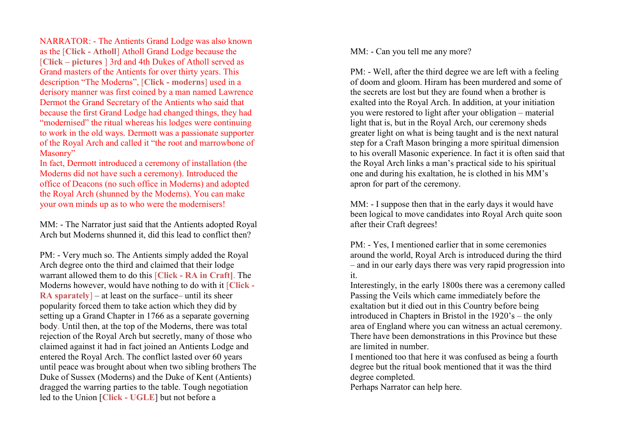NARRATOR: - The Antients Grand Lodge was also known as the [Click - Atholl] Atholl Grand Lodge because the [Click – pictures ] 3rd and 4th Dukes of Atholl served as Grand masters of the Antients for over thirty years. This description "The Moderns", [Click - moderns] used in a derisory manner was first coined by a man named Lawrence Dermot the Grand Secretary of the Antients who said that because the first Grand Lodge had changed things, they had "modernised" the ritual whereas his lodges were continuing to work in the old ways. Dermott was a passionate supporter of the Royal Arch and called it "the root and marrowbone of Masonry"

In fact, Dermott introduced a ceremony of installation (the Moderns did not have such a ceremony). Introduced the office of Deacons (no such office in Moderns) and adopted the Royal Arch (shunned by the Moderns). You can make your own minds up as to who were the modernisers!

MM: - The Narrator just said that the Antients adopted Royal Arch but Moderns shunned it, did this lead to conflict then?

PM: - Very much so. The Antients simply added the Royal Arch degree onto the third and claimed that their lodge warrant allowed them to do this [Click - RA in Craft]. The Moderns however, would have nothing to do with it [Click -RA sparately  $-$  at least on the surface– until its sheer popularity forced them to take action which they did by setting up a Grand Chapter in 1766 as a separate governing body. Until then, at the top of the Moderns, there was total rejection of the Royal Arch but secretly, many of those who claimed against it had in fact joined an Antients Lodge and entered the Royal Arch. The conflict lasted over 60 years until peace was brought about when two sibling brothers The Duke of Sussex (Moderns) and the Duke of Kent (Antients) dragged the warring parties to the table. Tough negotiation led to the Union [Click - UGLE] but not before a

MM: - Can you tell me any more?

PM: - Well, after the third degree we are left with a feeling of doom and gloom. Hiram has been murdered and some of the secrets are lost but they are found when a brother is exalted into the Royal Arch. In addition, at your initiation you were restored to light after your obligation – material light that is, but in the Royal Arch, our ceremony sheds greater light on what is being taught and is the next natural step for a Craft Mason bringing a more spiritual dimension to his overall Masonic experience. In fact it is often said that the Royal Arch links a man's practical side to his spiritual one and during his exaltation, he is clothed in his MM's apron for part of the ceremony.

MM: - I suppose then that in the early days it would have been logical to move candidates into Royal Arch quite soon after their Craft degrees!

PM: - Yes, I mentioned earlier that in some ceremonies around the world, Royal Arch is introduced during the third – and in our early days there was very rapid progression into it.

Interestingly, in the early 1800s there was a ceremony called Passing the Veils which came immediately before the exaltation but it died out in this Country before being introduced in Chapters in Bristol in the 1920's – the only area of England where you can witness an actual ceremony. There have been demonstrations in this Province but these are limited in number.

I mentioned too that here it was confused as being a fourth degree but the ritual book mentioned that it was the third degree completed.

Perhaps Narrator can help here.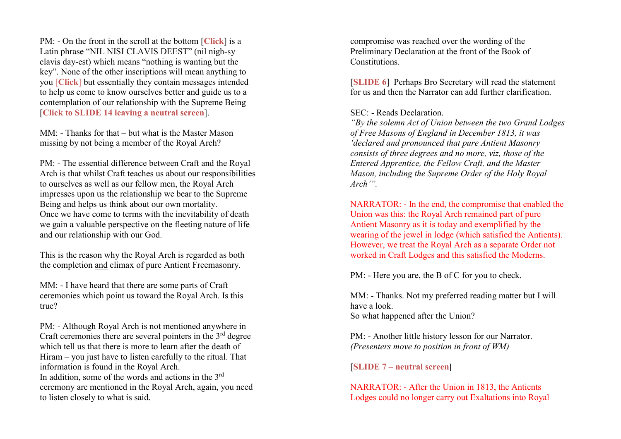PM: - On the front in the scroll at the bottom [Click] is a Latin phrase "NIL NISI CLAVIS DEEST" (nil nigh-sy clavis day-est) which means "nothing is wanting but the key". None of the other inscriptions will mean anything to you [Click] but essentially they contain messages intended to help us come to know ourselves better and guide us to a contemplation of our relationship with the Supreme Being [Click to SLIDE 14 leaving a neutral screen].

MM: - Thanks for that – but what is the Master Mason missing by not being a member of the Royal Arch?

PM: - The essential difference between Craft and the Royal Arch is that whilst Craft teaches us about our responsibilities to ourselves as well as our fellow men, the Royal Arch impresses upon us the relationship we bear to the Supreme Being and helps us think about our own mortality. Once we have come to terms with the inevitability of death we gain a valuable perspective on the fleeting nature of life and our relationship with our God.

This is the reason why the Royal Arch is regarded as both the completion and climax of pure Antient Freemasonry.

MM: - I have heard that there are some parts of Craft ceremonies which point us toward the Royal Arch. Is this true?

PM: - Although Royal Arch is not mentioned anywhere in Craft ceremonies there are several pointers in the  $3<sup>rd</sup>$  degree which tell us that there is more to learn after the death of Hiram – you just have to listen carefully to the ritual. That information is found in the Royal Arch. In addition, some of the words and actions in the 3<sup>rd</sup> ceremony are mentioned in the Royal Arch, again, you need to listen closely to what is said.

compromise was reached over the wording of the Preliminary Declaration at the front of the Book of Constitutions.

[SLIDE 6] Perhaps Bro Secretary will read the statement for us and then the Narrator can add further clarification.

## SEC: - Reads Declaration.

"By the solemn Act of Union between the two Grand Lodges of Free Masons of England in December 1813, it was 'declared and pronounced that pure Antient Masonry consists of three degrees and no more, viz, those of the Entered Apprentice, the Fellow Craft, and the Master Mason, including the Supreme Order of the Holy Royal Arch'".

NARRATOR: - In the end, the compromise that enabled the Union was this: the Royal Arch remained part of pure Antient Masonry as it is today and exemplified by the wearing of the jewel in lodge (which satisfied the Antients). However, we treat the Royal Arch as a separate Order not worked in Craft Lodges and this satisfied the Moderns.

PM: - Here you are, the B of C for you to check.

MM: - Thanks. Not my preferred reading matter but I will have a look. So what happened after the Union?

PM: - Another little history lesson for our Narrator. (Presenters move to position in front of WM)

[SLIDE 7 – neutral screen]

NARRATOR: - After the Union in 1813, the Antients Lodges could no longer carry out Exaltations into Royal